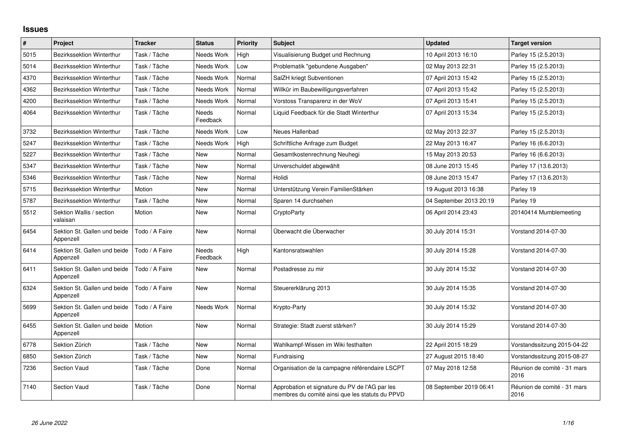## **Issues**

| #    | <b>Project</b>                            | <b>Tracker</b> | <b>Status</b>            | <b>Priority</b> | Subject                                                                                           | <b>Updated</b>          | <b>Target version</b>               |
|------|-------------------------------------------|----------------|--------------------------|-----------------|---------------------------------------------------------------------------------------------------|-------------------------|-------------------------------------|
| 5015 | <b>Bezirkssektion Winterthur</b>          | Task / Tâche   | Needs Work               | High            | Visualisierung Budget und Rechnung                                                                | 10 April 2013 16:10     | Parley 15 (2.5.2013)                |
| 5014 | Bezirkssektion Winterthur                 | Task / Tâche   | Needs Work               | Low             | Problematik "gebundene Ausgaben"                                                                  | 02 May 2013 22:31       | Parley 15 (2.5.2013)                |
| 4370 | <b>Bezirkssektion Winterthur</b>          | Task / Tâche   | Needs Work               | Normal          | SalZH kriegt Subventionen                                                                         | 07 April 2013 15:42     | Parley 15 (2.5.2013)                |
| 4362 | Bezirkssektion Winterthur                 | Task / Tâche   | Needs Work               | Normal          | Willkür im Baubewilligungsverfahren                                                               | 07 April 2013 15:42     | Parley 15 (2.5.2013)                |
| 4200 | Bezirkssektion Winterthur                 | Task / Tâche   | Needs Work               | Normal          | Vorstoss Transparenz in der WoV                                                                   | 07 April 2013 15:41     | Parley 15 (2.5.2013)                |
| 4064 | Bezirkssektion Winterthur                 | Task / Tâche   | <b>Needs</b><br>Feedback | Normal          | Liguid Feedback für die Stadt Winterthur                                                          | 07 April 2013 15:34     | Parley 15 (2.5.2013)                |
| 3732 | Bezirkssektion Winterthur                 | Task / Tâche   | Needs Work               | Low             | Neues Hallenbad                                                                                   | 02 May 2013 22:37       | Parley 15 (2.5.2013)                |
| 5247 | Bezirkssektion Winterthur                 | Task / Tâche   | Needs Work               | High            | Schriftliche Anfrage zum Budget                                                                   | 22 May 2013 16:47       | Parley 16 (6.6.2013)                |
| 5227 | Bezirkssektion Winterthur                 | Task / Tâche   | New                      | Normal          | Gesamtkostenrechnung Neuhegi                                                                      | 15 May 2013 20:53       | Parley 16 (6.6.2013)                |
| 5347 | Bezirkssektion Winterthur                 | Task / Tâche   | <b>New</b>               | Normal          | Unverschuldet abgewählt                                                                           | 08 June 2013 15:45      | Parley 17 (13.6.2013)               |
| 5346 | Bezirkssektion Winterthur                 | Task / Tâche   | <b>New</b>               | Normal          | Holidi                                                                                            | 08 June 2013 15:47      | Parley 17 (13.6.2013)               |
| 5715 | <b>Bezirkssektion Winterthur</b>          | Motion         | <b>New</b>               | Normal          | Unterstützung Verein FamilienStärken                                                              | 19 August 2013 16:38    | Parley 19                           |
| 5787 | <b>Bezirkssektion Winterthur</b>          | Task / Tâche   | <b>New</b>               | Normal          | Sparen 14 durchsehen                                                                              | 04 September 2013 20:19 | Parley 19                           |
| 5512 | Sektion Wallis / section<br>valaisan      | Motion         | New                      | Normal          | CryptoParty                                                                                       | 06 April 2014 23:43     | 20140414 Mumblemeeting              |
| 6454 | Sektion St. Gallen und beide<br>Appenzell | Todo / A Faire | <b>New</b>               | Normal          | Überwacht die Überwacher                                                                          | 30 July 2014 15:31      | Vorstand 2014-07-30                 |
| 6414 | Sektion St. Gallen und beide<br>Appenzell | Todo / A Faire | Needs<br>Feedback        | High            | Kantonsratswahlen                                                                                 | 30 July 2014 15:28      | Vorstand 2014-07-30                 |
| 6411 | Sektion St. Gallen und beide<br>Appenzell | Todo / A Faire | New                      | Normal          | Postadresse zu mir                                                                                | 30 July 2014 15:32      | Vorstand 2014-07-30                 |
| 6324 | Sektion St. Gallen und beide<br>Appenzell | Todo / A Faire | <b>New</b>               | Normal          | Steuererklärung 2013                                                                              | 30 July 2014 15:35      | Vorstand 2014-07-30                 |
| 5699 | Sektion St. Gallen und beide<br>Appenzell | Todo / A Faire | Needs Work               | Normal          | Krypto-Party                                                                                      | 30 July 2014 15:32      | Vorstand 2014-07-30                 |
| 6455 | Sektion St. Gallen und beide<br>Appenzell | Motion         | <b>New</b>               | Normal          | Strategie: Stadt zuerst stärken?                                                                  | 30 July 2014 15:29      | Vorstand 2014-07-30                 |
| 6778 | Sektion Zürich                            | Task / Tâche   | New                      | Normal          | Wahlkampf-Wissen im Wiki festhalten                                                               | 22 April 2015 18:29     | Vorstandssitzung 2015-04-22         |
| 6850 | Sektion Zürich                            | Task / Tâche   | <b>New</b>               | Normal          | Fundraising                                                                                       | 27 August 2015 18:40    | Vorstandssitzung 2015-08-27         |
| 7236 | Section Vaud                              | Task / Tâche   | Done                     | Normal          | Organisation de la campagne référendaire LSCPT                                                    | 07 May 2018 12:58       | Réunion de comité - 31 mars<br>2016 |
| 7140 | Section Vaud                              | Task / Tâche   | Done                     | Normal          | Approbation et signature du PV de l'AG par les<br>membres du comité ainsi que les statuts du PPVD | 08 September 2019 06:41 | Réunion de comité - 31 mars<br>2016 |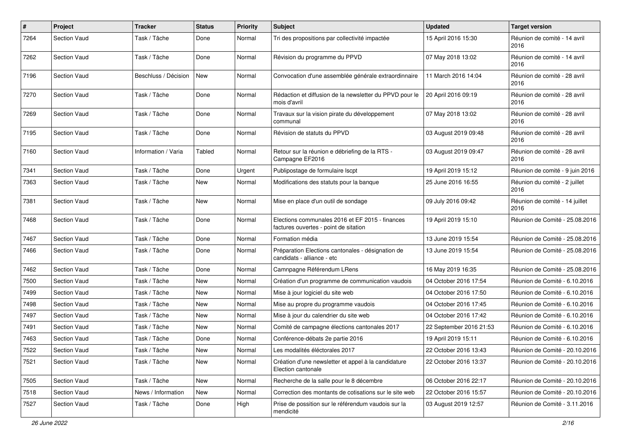| $\pmb{\#}$ | Project             | <b>Tracker</b>       | <b>Status</b> | <b>Priority</b> | Subject                                                                                  | <b>Updated</b>          | <b>Target version</b>                  |
|------------|---------------------|----------------------|---------------|-----------------|------------------------------------------------------------------------------------------|-------------------------|----------------------------------------|
| 7264       | <b>Section Vaud</b> | Task / Tâche         | Done          | Normal          | Tri des propositions par collectivité impactée                                           | 15 April 2016 15:30     | Réunion de comité - 14 avril<br>2016   |
| 7262       | <b>Section Vaud</b> | Task / Tâche         | Done          | Normal          | Révision du programme du PPVD                                                            | 07 May 2018 13:02       | Réunion de comité - 14 avril<br>2016   |
| 7196       | <b>Section Vaud</b> | Beschluss / Décision | New           | Normal          | Convocation d'une assemblée générale extraordinnaire                                     | 11 March 2016 14:04     | Réunion de comité - 28 avril<br>2016   |
| 7270       | Section Vaud        | Task / Tâche         | Done          | Normal          | Rédaction et diffusion de la newsletter du PPVD pour le<br>mois d'avril                  | 20 April 2016 09:19     | Réunion de comité - 28 avril<br>2016   |
| 7269       | <b>Section Vaud</b> | Task / Tâche         | Done          | Normal          | Travaux sur la vision pirate du développement<br>communal                                | 07 May 2018 13:02       | Réunion de comité - 28 avril<br>2016   |
| 7195       | <b>Section Vaud</b> | Task / Tâche         | Done          | Normal          | Révision de statuts du PPVD                                                              | 03 August 2019 09:48    | Réunion de comité - 28 avril<br>2016   |
| 7160       | <b>Section Vaud</b> | Information / Varia  | Tabled        | Normal          | Retour sur la réunion e débriefing de la RTS -<br>Campagne EF2016                        | 03 August 2019 09:47    | Réunion de comité - 28 avril<br>2016   |
| 7341       | <b>Section Vaud</b> | Task / Tâche         | Done          | Urgent          | Publipostage de formulaire Iscpt                                                         | 19 April 2019 15:12     | Réunion de comité - 9 juin 2016        |
| 7363       | <b>Section Vaud</b> | Task / Tâche         | New           | Normal          | Modifications des statuts pour la banque                                                 | 25 June 2016 16:55      | Réunion du comité - 2 juillet<br>2016  |
| 7381       | Section Vaud        | Task / Tâche         | New           | Normal          | Mise en place d'un outil de sondage                                                      | 09 July 2016 09:42      | Réunion de comité - 14 juillet<br>2016 |
| 7468       | <b>Section Vaud</b> | Task / Tâche         | Done          | Normal          | Elections communales 2016 et EF 2015 - finances<br>factures ouvertes - point de sitation | 19 April 2019 15:10     | Réunion de Comité - 25.08.2016         |
| 7467       | <b>Section Vaud</b> | Task / Tâche         | Done          | Normal          | Formation média                                                                          | 13 June 2019 15:54      | Réunion de Comité - 25.08.2016         |
| 7466       | <b>Section Vaud</b> | Task / Tâche         | Done          | Normal          | Préparation Elections cantonales - désignation de<br>candidats - alliance - etc          | 13 June 2019 15:54      | Réunion de Comité - 25.08.2016         |
| 7462       | <b>Section Vaud</b> | Task / Tâche         | Done          | Normal          | Camnpagne Référendum LRens                                                               | 16 May 2019 16:35       | Réunion de Comité - 25.08.2016         |
| 7500       | <b>Section Vaud</b> | Task / Tâche         | New           | Normal          | Création d'un programme de communication vaudois                                         | 04 October 2016 17:54   | Réunion de Comité - 6.10.2016          |
| 7499       | <b>Section Vaud</b> | Task / Tâche         | New           | Normal          | Mise à jour logiciel du site web                                                         | 04 October 2016 17:50   | Réunion de Comité - 6.10.2016          |
| 7498       | <b>Section Vaud</b> | Task / Tâche         | New           | Normal          | Mise au propre du programme vaudois                                                      | 04 October 2016 17:45   | Réunion de Comité - 6.10.2016          |
| 7497       | <b>Section Vaud</b> | Task / Tâche         | <b>New</b>    | Normal          | Mise à jour du calendrier du site web                                                    | 04 October 2016 17:42   | Réunion de Comité - 6.10.2016          |
| 7491       | <b>Section Vaud</b> | Task / Tâche         | New           | Normal          | Comité de campagne élections cantonales 2017                                             | 22 September 2016 21:53 | Réunion de Comité - 6.10.2016          |
| 7463       | Section Vaud        | Task / Tâche         | Done          | Normal          | Conférence-débats 2e partie 2016                                                         | 19 April 2019 15:11     | Réunion de Comité - 6.10.2016          |
| 7522       | Section Vaud        | Task / Tâche         | New           | Normal          | Les modalités éléctorales 2017                                                           | 22 October 2016 13:43   | Réunion de Comité - 20.10.2016         |
| 7521       | Section Vaud        | Task / Tâche         | New           | Normal          | Création d'une newsletter et appel à la candidature<br>Election cantonale                | 22 October 2016 13:37   | Réunion de Comité - 20.10.2016         |
| 7505       | Section Vaud        | Task / Tâche         | New           | Normal          | Recherche de la salle pour le 8 décembre                                                 | 06 October 2016 22:17   | Réunion de Comité - 20.10.2016         |
| 7518       | Section Vaud        | News / Information   | New           | Normal          | Correction des montants de cotisations sur le site web                                   | 22 October 2016 15:57   | Réunion de Comité - 20.10.2016         |
| 7527       | Section Vaud        | Task / Tâche         | Done          | High            | Prise de possition sur le référendum vaudois sur la<br>mendicité                         | 03 August 2019 12:57    | Réunion de Comité - 3.11.2016          |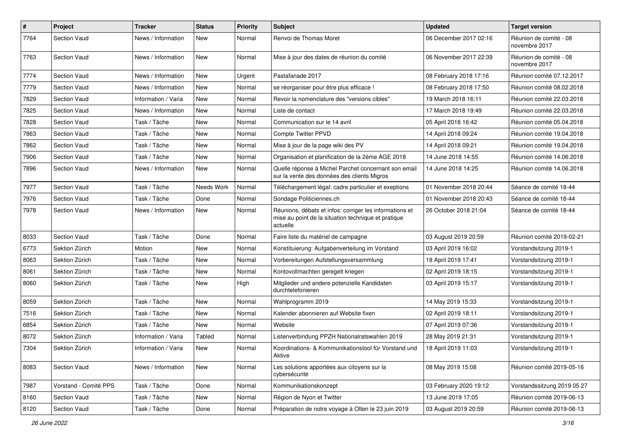| $\pmb{\#}$ | Project               | <b>Tracker</b>      | <b>Status</b> | <b>Priority</b> | Subject                                                                                                                    | <b>Updated</b>         | <b>Target version</b>                   |
|------------|-----------------------|---------------------|---------------|-----------------|----------------------------------------------------------------------------------------------------------------------------|------------------------|-----------------------------------------|
| 7764       | <b>Section Vaud</b>   | News / Information  | New           | Normal          | Renvoi de Thomas Moret                                                                                                     | 06 December 2017 02:16 | Réunion de comité - 08<br>novembre 2017 |
| 7763       | <b>Section Vaud</b>   | News / Information  | <b>New</b>    | Normal          | Mise à jour des dates de réunion du comité                                                                                 | 06 November 2017 22:39 | Réunion de comité - 08<br>novembre 2017 |
| 7774       | <b>Section Vaud</b>   | News / Information  | <b>New</b>    | Urgent          | Pastafariade 2017                                                                                                          | 08 February 2018 17:16 | Réunion comité 07.12.2017               |
| 7779       | <b>Section Vaud</b>   | News / Information  | <b>New</b>    | Normal          | se réorganiser pour être plus efficace !                                                                                   | 08 February 2018 17:50 | Réunion comité 08.02.2018               |
| 7829       | <b>Section Vaud</b>   | Information / Varia | <b>New</b>    | Normal          | Revoir la nomenclature des "versions cibles"                                                                               | 19 March 2018 16:11    | Réunion comité 22.03.2018               |
| 7825       | Section Vaud          | News / Information  | New           | Normal          | Liste de contact                                                                                                           | 17 March 2018 19:49    | Réunion comité 22.03.2018               |
| 7828       | <b>Section Vaud</b>   | Task / Tâche        | New           | Normal          | Communication sur le 14 avril                                                                                              | 05 April 2018 16:42    | Réunion comité 05.04.2018               |
| 7863       | <b>Section Vaud</b>   | Task / Tâche        | <b>New</b>    | Normal          | <b>Compte Twitter PPVD</b>                                                                                                 | 14 April 2018 09:24    | Réunion comité 19.04.2018               |
| 7862       | <b>Section Vaud</b>   | Task / Tâche        | New           | Normal          | Mise à jour de la page wiki des PV                                                                                         | 14 April 2018 09:21    | Réunion comité 19.04.2018               |
| 7906       | <b>Section Vaud</b>   | Task / Tâche        | <b>New</b>    | Normal          | Organisation et planification de la 2ème AGE 2018                                                                          | 14 June 2018 14:55     | Réunion comité 14.06.2018               |
| 7896       | <b>Section Vaud</b>   | News / Information  | New           | Normal          | Quelle réponse à Michel Parchet concernant son email<br>sur la vente des données des clients Migros                        | 14 June 2018 14:25     | Réunion comité 14.06.2018               |
| 7977       | <b>Section Vaud</b>   | Task / Tâche        | Needs Work    | Normal          | Téléchargement légal: cadre particulier et exeptions                                                                       | 01 November 2018 20:44 | Séance de comité 18-44                  |
| 7976       | <b>Section Vaud</b>   | Task / Tâche        | Done          | Normal          | Sondage Politiciennes.ch                                                                                                   | 01 November 2018 20:43 | Séance de comité 18-44                  |
| 7978       | <b>Section Vaud</b>   | News / Information  | New           | Normal          | Réunions, débats et infos: corriger les informations et<br>mise au point de la situation technique et pratique<br>actuelle | 26 October 2018 21:04  | Séance de comité 18-44                  |
| 8033       | <b>Section Vaud</b>   | Task / Tâche        | Done          | Normal          | Faire liste du matériel de campagne                                                                                        | 03 August 2019 20:59   | Réunion comité 2019-02-21               |
| 6773       | Sektion Zürich        | Motion              | New           | Normal          | Konstituierung: Aufgabenverteilung im Vorstand                                                                             | 03 April 2019 16:02    | Vorstandsitzung 2019-1                  |
| 8063       | Sektion Zürich        | Task / Tâche        | <b>New</b>    | Normal          | Vorbereitungen Aufstellungsversammlung                                                                                     | 18 April 2019 17:41    | Vorstandsitzung 2019-1                  |
| 8061       | Sektion Zürich        | Task / Tâche        | <b>New</b>    | Normal          | Kontovollmachten geregelt kriegen                                                                                          | 02 April 2019 18:15    | Vorstandsitzung 2019-1                  |
| 8060       | Sektion Zürich        | Task / Tâche        | New           | High            | Mitglieder und andere potenzielle Kandidaten<br>durchtelefonieren                                                          | 03 April 2019 15:17    | Vorstandsitzung 2019-1                  |
| 8059       | Sektion Zürich        | Task / Tâche        | <b>New</b>    | Normal          | Wahlprogramm 2019                                                                                                          | 14 May 2019 15:33      | Vorstandsitzung 2019-1                  |
| 7516       | Sektion Zürich        | Task / Tâche        | New           | Normal          | Kalender abonnieren auf Website fixen                                                                                      | 02 April 2019 18:11    | Vorstandsitzung 2019-1                  |
| 6854       | Sektion Zürich        | Task / Tâche        | <b>New</b>    | Normal          | Website                                                                                                                    | 07 April 2019 07:36    | Vorstandsitzung 2019-1                  |
| 8072       | Sektion Zürich        | Information / Varia | Tabled        | Normal          | Listenverbindung PPZH Nationalratswahlen 2019                                                                              | 28 May 2019 21:31      | Vorstandsitzung 2019-1                  |
| 7304       | Sektion Zürich        | Information / Varia | New           | Normal          | Koordinations- & Kommunikationstool für Vorstand und<br>Aktive                                                             | 18 April 2019 11:03    | Vorstandsitzung 2019-1                  |
| 8083       | Section Vaud          | News / Information  | New           | Normal          | Les solutions apportées aux citoyens sur la<br>cybersécurité                                                               | 08 May 2019 15:08      | Réunion comité 2019-05-16               |
| 7987       | Vorstand - Comité PPS | Task / Tâche        | Done          | Normal          | Kommunikationskonzept                                                                                                      | 03 February 2020 19:12 | Vorstandssitzung 2019 05 27             |
| 8160       | Section Vaud          | Task / Tâche        | New           | Normal          | Région de Nyon et Twitter                                                                                                  | 13 June 2019 17:05     | Réunion comité 2019-06-13               |
| 8120       | Section Vaud          | Task / Tâche        | Done          | Normal          | Préparation de notre voyage à Olten le 23 juin 2019                                                                        | 03 August 2019 20:59   | Réunion comité 2019-06-13               |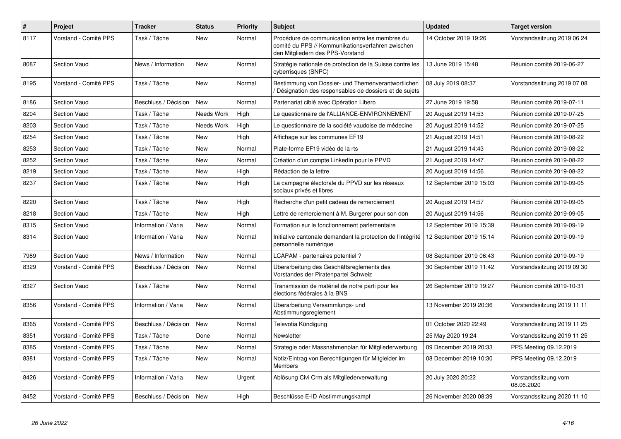| $\sharp$ | Project               | <b>Tracker</b>       | <b>Status</b>     | <b>Priority</b> | <b>Subject</b>                                                                                                                           | <b>Updated</b>          | <b>Target version</b>              |
|----------|-----------------------|----------------------|-------------------|-----------------|------------------------------------------------------------------------------------------------------------------------------------------|-------------------------|------------------------------------|
| 8117     | Vorstand - Comité PPS | Task / Tâche         | New               | Normal          | Procédure de communication entre les membres du<br>comité du PPS // Kommunikationsverfahren zwischen<br>den Mitgliedern des PPS-Vorstand | 14 October 2019 19:26   | Vorstandssitzung 2019 06 24        |
| 8087     | <b>Section Vaud</b>   | News / Information   | New               | Normal          | Stratégie nationale de protection de la Suisse contre les<br>cyberrisques (SNPC)                                                         | 13 June 2019 15:48      | Réunion comité 2019-06-27          |
| 8195     | Vorstand - Comité PPS | Task / Tâche         | <b>New</b>        | Normal          | Bestimmung von Dossier- und Themenverantwortlichen<br>Désignation des responsables de dossiers et de sujets                              | 08 July 2019 08:37      | Vorstandssitzung 2019 07 08        |
| 8186     | <b>Section Vaud</b>   | Beschluss / Décision | <b>New</b>        | Normal          | Partenariat ciblé avec Opération Libero                                                                                                  | 27 June 2019 19:58      | Réunion comité 2019-07-11          |
| 8204     | <b>Section Vaud</b>   | Task / Tâche         | Needs Work        | High            | Le questionnaire de l'ALLIANCE-ENVIRONNEMENT                                                                                             | 20 August 2019 14:53    | Réunion comité 2019-07-25          |
| 8203     | <b>Section Vaud</b>   | Task / Tâche         | <b>Needs Work</b> | High            | Le questionnaire de la société vaudoise de médecine                                                                                      | 20 August 2019 14:52    | Réunion comité 2019-07-25          |
| 8254     | <b>Section Vaud</b>   | Task / Tâche         | New               | High            | Affichage sur les communes EF19                                                                                                          | 21 August 2019 14:51    | Réunion comité 2019-08-22          |
| 8253     | <b>Section Vaud</b>   | Task / Tâche         | New               | Normal          | Plate-forme EF19 vidéo de la rts                                                                                                         | 21 August 2019 14:43    | Réunion comité 2019-08-22          |
| 8252     | <b>Section Vaud</b>   | Task / Tâche         | <b>New</b>        | Normal          | Création d'un compte LinkedIn pour le PPVD                                                                                               | 21 August 2019 14:47    | Réunion comité 2019-08-22          |
| 8219     | Section Vaud          | Task / Tâche         | New               | High            | Rédaction de la lettre                                                                                                                   | 20 August 2019 14:56    | Réunion comité 2019-08-22          |
| 8237     | <b>Section Vaud</b>   | Task / Tâche         | <b>New</b>        | High            | La campagne électorale du PPVD sur les réseaux<br>sociaux privés et libres                                                               | 12 September 2019 15:03 | Réunion comité 2019-09-05          |
| 8220     | <b>Section Vaud</b>   | Task / Tâche         | New               | High            | Recherche d'un petit cadeau de remerciement                                                                                              | 20 August 2019 14:57    | Réunion comité 2019-09-05          |
| 8218     | <b>Section Vaud</b>   | Task / Tâche         | <b>New</b>        | High            | Lettre de remerciement à M. Burgerer pour son don                                                                                        | 20 August 2019 14:56    | Réunion comité 2019-09-05          |
| 8315     | <b>Section Vaud</b>   | Information / Varia  | New               | Normal          | Formation sur le fonctionnement parlementaire                                                                                            | 12 September 2019 15:39 | Réunion comité 2019-09-19          |
| 8314     | <b>Section Vaud</b>   | Information / Varia  | <b>New</b>        | Normal          | Initiative cantonale demandant la protection de l'intégrité<br>personnelle numérique                                                     | 12 September 2019 15:14 | Réunion comité 2019-09-19          |
| 7989     | <b>Section Vaud</b>   | News / Information   | New               | Normal          | LCAPAM - partenaires potentiel?                                                                                                          | 08 September 2019 06:43 | Réunion comité 2019-09-19          |
| 8329     | Vorstand - Comité PPS | Beschluss / Décision | <b>New</b>        | Normal          | Überarbeitung des Geschäftsreglements des<br>Vorstandes der Piratenpartei Schweiz                                                        | 30 September 2019 11:42 | Vorstandssitzung 2019 09 30        |
| 8327     | <b>Section Vaud</b>   | Task / Tâche         | New               | Normal          | Transmission de matériel de notre parti pour les<br>élections fédérales à la BNS                                                         | 26 September 2019 19:27 | Réunion comité 2019-10-31          |
| 8356     | Vorstand - Comité PPS | Information / Varia  | <b>New</b>        | Normal          | Überarbeitung Versammlungs- und<br>Abstimmungsreglement                                                                                  | 13 November 2019 20:36  | Vorstandssitzung 2019 11 11        |
| 8365     | Vorstand - Comité PPS | Beschluss / Décision | <b>New</b>        | Normal          | Televotia Kündigung                                                                                                                      | 01 October 2020 22:49   | Vorstandssitzung 2019 11 25        |
| 8351     | Vorstand - Comité PPS | Task / Tâche         | Done              | Normal          | Newsletter                                                                                                                               | 25 May 2020 19:24       | Vorstandssitzung 2019 11 25        |
| 8385     | Vorstand - Comité PPS | Task / Tâche         | New               | Normal          | Strategie oder Massnahmenplan für Mitgliederwerbung                                                                                      | 09 December 2019 20:33  | PPS Meeting 09.12.2019             |
| 8381     | Vorstand - Comité PPS | Task / Tâche         | New               | Normal          | Notiz/Eintrag von Berechtigungen für Mitgleider im<br>Members                                                                            | 08 December 2019 10:30  | PPS Meeting 09.12.2019             |
| 8426     | Vorstand - Comité PPS | Information / Varia  | New               | Urgent          | Ablösung Civi Crm als Mitgliederverwaltung                                                                                               | 20 July 2020 20:22      | Vorstandssitzung vom<br>08.06.2020 |
| 8452     | Vorstand - Comité PPS | Beschluss / Décision | <b>New</b>        | High            | Beschlüsse E-ID Abstimmungskampf                                                                                                         | 26 November 2020 08:39  | Vorstandssitzung 2020 11 10        |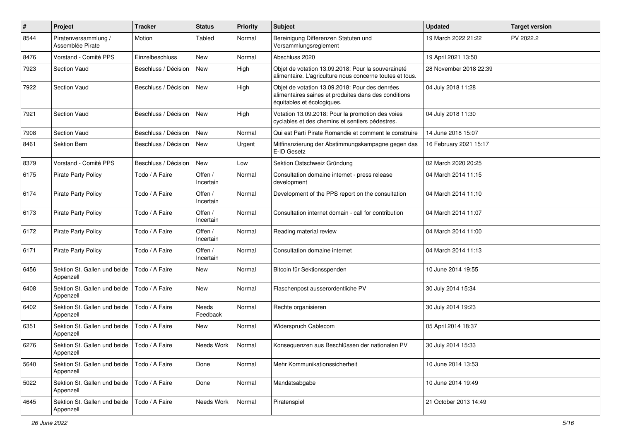| $\pmb{\#}$ | Project                                   | <b>Tracker</b>       | <b>Status</b>        | <b>Priority</b> | <b>Subject</b>                                                                                                                       | <b>Updated</b>         | <b>Target version</b> |
|------------|-------------------------------------------|----------------------|----------------------|-----------------|--------------------------------------------------------------------------------------------------------------------------------------|------------------------|-----------------------|
| 8544       | Piratenversammlung /<br>Assemblée Pirate  | Motion               | Tabled               | Normal          | Bereinigung Differenzen Statuten und<br>Versammlungsreglement                                                                        | 19 March 2022 21:22    | PV 2022.2             |
| 8476       | Vorstand - Comité PPS                     | Einzelbeschluss      | New                  | Normal          | Abschluss 2020                                                                                                                       | 19 April 2021 13:50    |                       |
| 7923       | Section Vaud                              | Beschluss / Décision | New                  | High            | Objet de votation 13.09.2018: Pour la souveraineté<br>alimentaire. L'agriculture nous concerne toutes et tous.                       | 28 November 2018 22:39 |                       |
| 7922       | Section Vaud                              | Beschluss / Décision | New                  | High            | Objet de votation 13.09.2018: Pour des denrées<br>alimentaires saines et produites dans des conditions<br>équitables et écologiques. | 04 July 2018 11:28     |                       |
| 7921       | Section Vaud                              | Beschluss / Décision | <b>New</b>           | High            | Votation 13.09.2018: Pour la promotion des voies<br>cyclables et des chemins et sentiers pédestres.                                  | 04 July 2018 11:30     |                       |
| 7908       | Section Vaud                              | Beschluss / Décision | New                  | Normal          | Qui est Parti Pirate Romandie et comment le construire                                                                               | 14 June 2018 15:07     |                       |
| 8461       | Sektion Bern                              | Beschluss / Décision | New                  | Urgent          | Mitfinanzierung der Abstimmungskampagne gegen das<br>E-ID Gesetz                                                                     | 16 February 2021 15:17 |                       |
| 8379       | Vorstand - Comité PPS                     | Beschluss / Décision | <b>New</b>           | Low             | Sektion Ostschweiz Gründung                                                                                                          | 02 March 2020 20:25    |                       |
| 6175       | <b>Pirate Party Policy</b>                | Todo / A Faire       | Offen /<br>Incertain | Normal          | Consultation domaine internet - press release<br>development                                                                         | 04 March 2014 11:15    |                       |
| 6174       | <b>Pirate Party Policy</b>                | Todo / A Faire       | Offen /<br>Incertain | Normal          | Development of the PPS report on the consultation                                                                                    | 04 March 2014 11:10    |                       |
| 6173       | <b>Pirate Party Policy</b>                | Todo / A Faire       | Offen /<br>Incertain | Normal          | Consultation internet domain - call for contribution                                                                                 | 04 March 2014 11:07    |                       |
| 6172       | <b>Pirate Party Policy</b>                | Todo / A Faire       | Offen /<br>Incertain | Normal          | Reading material review                                                                                                              | 04 March 2014 11:00    |                       |
| 6171       | Pirate Party Policy                       | Todo / A Faire       | Offen /<br>Incertain | Normal          | Consultation domaine internet                                                                                                        | 04 March 2014 11:13    |                       |
| 6456       | Sektion St. Gallen und beide<br>Appenzell | Todo / A Faire       | New                  | Normal          | Bitcoin für Sektionsspenden                                                                                                          | 10 June 2014 19:55     |                       |
| 6408       | Sektion St. Gallen und beide<br>Appenzell | Todo / A Faire       | <b>New</b>           | Normal          | Flaschenpost ausserordentliche PV                                                                                                    | 30 July 2014 15:34     |                       |
| 6402       | Sektion St. Gallen und beide<br>Appenzell | Todo / A Faire       | Needs<br>Feedback    | Normal          | Rechte organisieren                                                                                                                  | 30 July 2014 19:23     |                       |
| 6351       | Sektion St. Gallen und beide<br>Appenzell | Todo / A Faire       | New                  | Normal          | Widerspruch Cablecom                                                                                                                 | 05 April 2014 18:37    |                       |
| 6276       | Sektion St. Gallen und beide<br>Appenzell | Todo / A Faire       | Needs Work           | Normal          | Konseguenzen aus Beschlüssen der nationalen PV                                                                                       | 30 July 2014 15:33     |                       |
| 5640       | Sektion St. Gallen und beide<br>Appenzell | Todo / A Faire       | Done                 | Normal          | Mehr Kommunikationssicherheit                                                                                                        | 10 June 2014 13:53     |                       |
| 5022       | Sektion St. Gallen und beide<br>Appenzell | Todo / A Faire       | Done                 | Normal          | Mandatsabgabe                                                                                                                        | 10 June 2014 19:49     |                       |
| 4645       | Sektion St. Gallen und beide<br>Appenzell | Todo / A Faire       | Needs Work           | Normal          | Piratenspiel                                                                                                                         | 21 October 2013 14:49  |                       |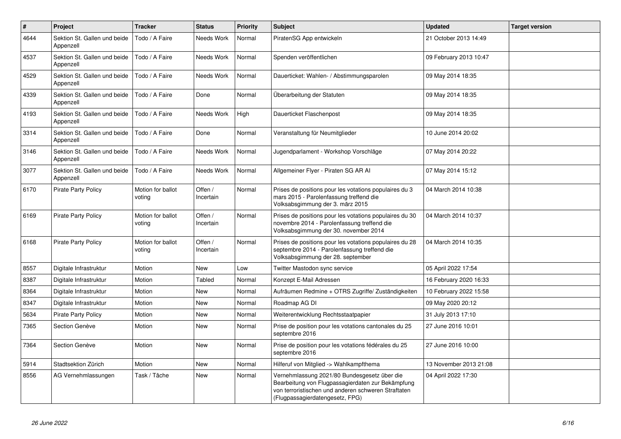| $\pmb{\#}$ | Project                                   | <b>Tracker</b>              | <b>Status</b>        | <b>Priority</b> | <b>Subject</b>                                                                                                                                                                              | <b>Updated</b>         | <b>Target version</b> |
|------------|-------------------------------------------|-----------------------------|----------------------|-----------------|---------------------------------------------------------------------------------------------------------------------------------------------------------------------------------------------|------------------------|-----------------------|
| 4644       | Sektion St. Gallen und beide<br>Appenzell | Todo / A Faire              | <b>Needs Work</b>    | Normal          | PiratenSG App entwickeln                                                                                                                                                                    | 21 October 2013 14:49  |                       |
| 4537       | Sektion St. Gallen und beide<br>Appenzell | Todo / A Faire              | Needs Work           | Normal          | Spenden veröffentlichen                                                                                                                                                                     | 09 February 2013 10:47 |                       |
| 4529       | Sektion St. Gallen und beide<br>Appenzell | Todo / A Faire              | Needs Work           | Normal          | Dauerticket: Wahlen- / Abstimmungsparolen                                                                                                                                                   | 09 May 2014 18:35      |                       |
| 4339       | Sektion St. Gallen und beide<br>Appenzell | Todo / A Faire              | Done                 | Normal          | Überarbeitung der Statuten                                                                                                                                                                  | 09 May 2014 18:35      |                       |
| 4193       | Sektion St. Gallen und beide<br>Appenzell | Todo / A Faire              | Needs Work           | High            | Dauerticket Flaschenpost                                                                                                                                                                    | 09 May 2014 18:35      |                       |
| 3314       | Sektion St. Gallen und beide<br>Appenzell | Todo / A Faire              | Done                 | Normal          | Veranstaltung für Neumitglieder                                                                                                                                                             | 10 June 2014 20:02     |                       |
| 3146       | Sektion St. Gallen und beide<br>Appenzell | Todo / A Faire              | Needs Work           | Normal          | Jugendparlament - Workshop Vorschläge                                                                                                                                                       | 07 May 2014 20:22      |                       |
| 3077       | Sektion St. Gallen und beide<br>Appenzell | Todo / A Faire              | Needs Work           | Normal          | Allgemeiner Flyer - Piraten SG AR AI                                                                                                                                                        | 07 May 2014 15:12      |                       |
| 6170       | <b>Pirate Party Policy</b>                | Motion for ballot<br>voting | Offen /<br>Incertain | Normal          | Prises de positions pour les votations populaires du 3<br>mars 2015 - Parolenfassung treffend die<br>Volksabsgimmung der 3. märz 2015                                                       | 04 March 2014 10:38    |                       |
| 6169       | <b>Pirate Party Policy</b>                | Motion for ballot<br>voting | Offen /<br>Incertain | Normal          | Prises de positions pour les votations populaires du 30<br>novembre 2014 - Parolenfassung treffend die<br>Volksabsgimmung der 30. november 2014                                             | 04 March 2014 10:37    |                       |
| 6168       | <b>Pirate Party Policy</b>                | Motion for ballot<br>voting | Offen /<br>Incertain | Normal          | Prises de positions pour les votations populaires du 28<br>septembre 2014 - Parolenfassung treffend die<br>Volksabsgimmung der 28. september                                                | 04 March 2014 10:35    |                       |
| 8557       | Digitale Infrastruktur                    | Motion                      | <b>New</b>           | Low             | Twitter Mastodon sync service                                                                                                                                                               | 05 April 2022 17:54    |                       |
| 8387       | Digitale Infrastruktur                    | Motion                      | Tabled               | Normal          | Konzept E-Mail Adressen                                                                                                                                                                     | 16 February 2020 16:33 |                       |
| 8364       | Digitale Infrastruktur                    | Motion                      | <b>New</b>           | Normal          | Aufräumen Redmine + OTRS Zugriffe/Zuständigkeiten                                                                                                                                           | 10 February 2022 15:58 |                       |
| 8347       | Digitale Infrastruktur                    | Motion                      | <b>New</b>           | Normal          | Roadmap AG DI                                                                                                                                                                               | 09 May 2020 20:12      |                       |
| 5634       | <b>Pirate Party Policy</b>                | Motion                      | <b>New</b>           | Normal          | Weiterentwicklung Rechtsstaatpapier                                                                                                                                                         | 31 July 2013 17:10     |                       |
| 7365       | Section Genève                            | Motion                      | <b>New</b>           | Normal          | Prise de position pour les votations cantonales du 25<br>septembre 2016                                                                                                                     | 27 June 2016 10:01     |                       |
| 7364       | Section Genève                            | Motion                      | New                  | Normal          | Prise de position pour les votations fédérales du 25<br>septembre 2016                                                                                                                      | 27 June 2016 10:00     |                       |
| 5914       | Stadtsektion Zürich                       | Motion                      | <b>New</b>           | Normal          | Hilferuf von Mitglied -> Wahlkampfthema                                                                                                                                                     | 13 November 2013 21:08 |                       |
| 8556       | AG Vernehmlassungen                       | Task / Tâche                | New                  | Normal          | Vernehmlassung 2021/80 Bundesgesetz über die<br>Bearbeitung von Flugpassagierdaten zur Bekämpfung<br>von terroristischen und anderen schweren Straftaten<br>(Flugpassagierdatengesetz, FPG) | 04 April 2022 17:30    |                       |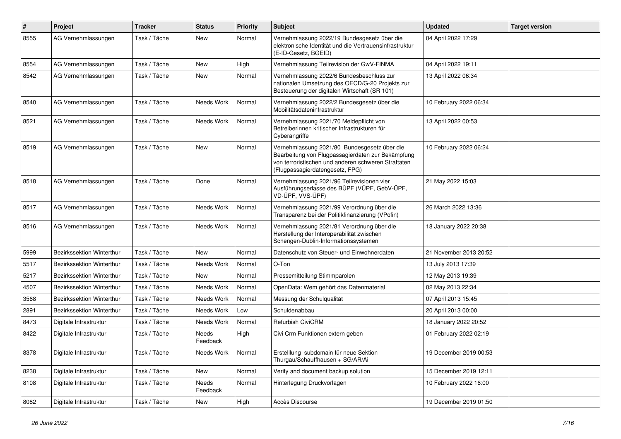| $\#$ | Project                   | <b>Tracker</b> | <b>Status</b>       | <b>Priority</b> | <b>Subject</b>                                                                                                                                                                              | <b>Updated</b>         | <b>Target version</b> |
|------|---------------------------|----------------|---------------------|-----------------|---------------------------------------------------------------------------------------------------------------------------------------------------------------------------------------------|------------------------|-----------------------|
| 8555 | AG Vernehmlassungen       | Task / Tâche   | New                 | Normal          | Vernehmlassung 2022/19 Bundesgesetz über die<br>elektronische Identität und die Vertrauensinfrastruktur<br>(E-ID-Gesetz, BGEID)                                                             | 04 April 2022 17:29    |                       |
| 8554 | AG Vernehmlassungen       | Task / Tâche   | <b>New</b>          | High            | Vernehmlassung Teilrevision der GwV-FINMA                                                                                                                                                   | 04 April 2022 19:11    |                       |
| 8542 | AG Vernehmlassungen       | Task / Tâche   | New                 | Normal          | Vernehmlassung 2022/6 Bundesbeschluss zur<br>nationalen Umsetzung des OECD/G-20 Projekts zur<br>Besteuerung der digitalen Wirtschaft (SR 101)                                               | 13 April 2022 06:34    |                       |
| 8540 | AG Vernehmlassungen       | Task / Tâche   | Needs Work          | Normal          | Vernehmlassung 2022/2 Bundesgesetz über die<br>Mobilitätsdateninfrastruktur                                                                                                                 | 10 February 2022 06:34 |                       |
| 8521 | AG Vernehmlassungen       | Task / Tâche   | Needs Work          | Normal          | Vernehmlassung 2021/70 Meldepflicht von<br>Betreiberinnen kritischer Infrastrukturen für<br>Cyberangriffe                                                                                   | 13 April 2022 00:53    |                       |
| 8519 | AG Vernehmlassungen       | Task / Tâche   | New                 | Normal          | Vernehmlassung 2021/80 Bundesgesetz über die<br>Bearbeitung von Flugpassagierdaten zur Bekämpfung<br>von terroristischen und anderen schweren Straftaten<br>(Flugpassagierdatengesetz, FPG) | 10 February 2022 06:24 |                       |
| 8518 | AG Vernehmlassungen       | Task / Tâche   | Done                | Normal          | Vernehmlassung 2021/96 Teilrevisionen vier<br>Ausführungserlasse des BÜPF (VÜPF, GebV-ÜPF,<br>VD-ÜPF, VVS-ÜPF)                                                                              | 21 May 2022 15:03      |                       |
| 8517 | AG Vernehmlassungen       | Task / Tâche   | Needs Work          | Normal          | Vernehmlassung 2021/99 Verordnung über die<br>Transparenz bei der Politikfinanzierung (VPofin)                                                                                              | 26 March 2022 13:36    |                       |
| 8516 | AG Vernehmlassungen       | Task / Tâche   | Needs Work          | Normal          | Vernehmlassung 2021/81 Verordnung über die<br>Herstellung der Interoperabilität zwischen<br>Schengen-Dublin-Informationssystemen                                                            | 18 January 2022 20:38  |                       |
| 5999 | Bezirkssektion Winterthur | Task / Tâche   | New                 | Normal          | Datenschutz von Steuer- und Einwohnerdaten                                                                                                                                                  | 21 November 2013 20:52 |                       |
| 5517 | Bezirkssektion Winterthur | Task / Tâche   | Needs Work          | Normal          | O-Ton                                                                                                                                                                                       | 13 July 2013 17:39     |                       |
| 5217 | Bezirkssektion Winterthur | Task / Tâche   | New                 | Normal          | Pressemitteilung Stimmparolen                                                                                                                                                               | 12 May 2013 19:39      |                       |
| 4507 | Bezirkssektion Winterthur | Task / Tâche   | Needs Work          | Normal          | OpenData: Wem gehört das Datenmaterial                                                                                                                                                      | 02 May 2013 22:34      |                       |
| 3568 | Bezirkssektion Winterthur | Task / Tâche   | Needs Work          | Normal          | Messung der Schulqualität                                                                                                                                                                   | 07 April 2013 15:45    |                       |
| 2891 | Bezirkssektion Winterthur | Task / Tâche   | Needs Work          | Low             | Schuldenabbau                                                                                                                                                                               | 20 April 2013 00:00    |                       |
| 8473 | Digitale Infrastruktur    | Task / Tâche   | Needs Work          | Normal          | Refurbish CiviCRM                                                                                                                                                                           | 18 January 2022 20:52  |                       |
| 8422 | Digitale Infrastruktur    | Task / Tâche   | Needs<br>Feedback   | High            | Civi Crm Funktionen extern geben                                                                                                                                                            | 01 February 2022 02:19 |                       |
| 8378 | Digitale Infrastruktur    | Task / Tâche   | Needs Work   Normal |                 | Erstelllung subdomain für neue Sektion<br>Thurgau/Schauffhausen + SG/AR/Ai                                                                                                                  | 19 December 2019 00:53 |                       |
| 8238 | Digitale Infrastruktur    | Task / Tâche   | New                 | Normal          | Verify and document backup solution                                                                                                                                                         | 15 December 2019 12:11 |                       |
| 8108 | Digitale Infrastruktur    | Task / Tâche   | Needs<br>Feedback   | Normal          | Hinterlegung Druckvorlagen                                                                                                                                                                  | 10 February 2022 16:00 |                       |
| 8082 | Digitale Infrastruktur    | Task / Tâche   | New                 | High            | Accès Discourse                                                                                                                                                                             | 19 December 2019 01:50 |                       |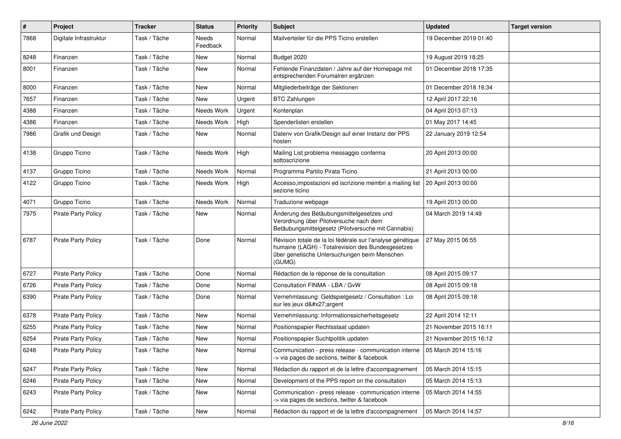| #    | Project                    | <b>Tracker</b> | <b>Status</b>     | <b>Priority</b> | <b>Subject</b>                                                                                                                                                            | <b>Updated</b>         | <b>Target version</b> |
|------|----------------------------|----------------|-------------------|-----------------|---------------------------------------------------------------------------------------------------------------------------------------------------------------------------|------------------------|-----------------------|
| 7868 | Digitale Infrastruktur     | Task / Tâche   | Needs<br>Feedback | Normal          | Mailverteiler für die PPS Ticino erstellen                                                                                                                                | 19 December 2019 01:40 |                       |
| 8248 | Finanzen                   | Task / Tâche   | New               | Normal          | Budget 2020                                                                                                                                                               | 19 August 2019 18:25   |                       |
| 8001 | Finanzen                   | Task / Tâche   | New               | Normal          | Fehlende Finanzdaten / Jahre auf der Homepage mit<br>entsprechenden Forumalren ergänzen                                                                                   | 01 December 2018 17:35 |                       |
| 8000 | Finanzen                   | Task / Tâche   | New               | Normal          | Mitgliederbeiträge der Sektionen                                                                                                                                          | 01 December 2018 16:34 |                       |
| 7657 | Finanzen                   | Task / Tâche   | <b>New</b>        | Urgent          | <b>BTC Zahlungen</b>                                                                                                                                                      | 12 April 2017 22:16    |                       |
| 4388 | Finanzen                   | Task / Tâche   | Needs Work        | Urgent          | Kontenplan                                                                                                                                                                | 04 April 2013 07:13    |                       |
| 4386 | Finanzen                   | Task / Tâche   | Needs Work        | High            | Spenderlisten erstellen                                                                                                                                                   | 01 May 2017 14:45      |                       |
| 7986 | Grafik und Design          | Task / Tâche   | New               | Normal          | Datenv von Grafik/Design auf einer Instanz der PPS<br>hosten                                                                                                              | 22 January 2019 12:54  |                       |
| 4138 | Gruppo Ticino              | Task / Tâche   | Needs Work        | High            | Mailing List problema messaggio conferma<br>sottoscrizione                                                                                                                | 20 April 2013 00:00    |                       |
| 4137 | Gruppo Ticino              | Task / Tâche   | Needs Work        | Normal          | Programma Partito Pirata Ticino                                                                                                                                           | 21 April 2013 00:00    |                       |
| 4122 | Gruppo Ticino              | Task / Tâche   | Needs Work        | High            | Accesso, impostazioni ed iscrizione membri a mailing list<br>sezione ticino                                                                                               | 20 April 2013 00:00    |                       |
| 4071 | Gruppo Ticino              | Task / Tâche   | Needs Work        | Normal          | Traduzione webpage                                                                                                                                                        | 19 April 2013 00:00    |                       |
| 7975 | <b>Pirate Party Policy</b> | Task / Tâche   | New               | Normal          | Änderung des Betäubungsmittelgesetzes und<br>Verordnung über Pilotversuche nach dem<br>Betäubungsmittelgesetz (Pilotversuche mit Cannabis)                                | 04 March 2019 14:49    |                       |
| 6787 | <b>Pirate Party Policy</b> | Task / Tâche   | Done              | Normal          | Révision totale de la loi fédérale sur l'analyse génétique<br>humaine (LAGH) - Totalrevision des Bundesgesetzes<br>über genetische Untersuchungen beim Menschen<br>(GUMG) | 27 May 2015 06:55      |                       |
| 6727 | <b>Pirate Party Policy</b> | Task / Tâche   | Done              | Normal          | Rédaction de la réponse de la consultation                                                                                                                                | 08 April 2015 09:17    |                       |
| 6726 | <b>Pirate Party Policy</b> | Task / Tâche   | Done              | Normal          | Consultation FINMA - LBA / GvW                                                                                                                                            | 08 April 2015 09:18    |                       |
| 6390 | <b>Pirate Party Policy</b> | Task / Tâche   | Done              | Normal          | Vernehmlassung: Geldspielgesetz / Consultation : Loi<br>sur les jeux d'argent                                                                                             | 08 April 2015 09:18    |                       |
| 6378 | <b>Pirate Party Policy</b> | Task / Tâche   | <b>New</b>        | Normal          | Vernehmlassung: Informationssicherheitsgesetz                                                                                                                             | 22 April 2014 12:11    |                       |
| 6255 | <b>Pirate Party Policy</b> | Task / Tâche   | New               | Normal          | Positionspapier Rechtsstaat updaten                                                                                                                                       | 21 November 2015 16:11 |                       |
| 6254 | <b>Pirate Party Policy</b> | Task / Tâche   | <b>New</b>        | Normal          | Positionspapier Suchtpolitik updaten                                                                                                                                      | 21 November 2015 16:12 |                       |
| 6248 | Pirate Party Policy        | Task / Tâche   | New               | Normal          | Communication - press release - communication interne<br>-> via pages de sections, twitter & facebook                                                                     | 05 March 2014 15:16    |                       |
| 6247 | <b>Pirate Party Policy</b> | Task / Tâche   | New               | Normal          | Rédaction du rapport et de la lettre d'accompagnement                                                                                                                     | 05 March 2014 15:15    |                       |
| 6246 | <b>Pirate Party Policy</b> | Task / Tâche   | New               | Normal          | Development of the PPS report on the consultation                                                                                                                         | 05 March 2014 15:13    |                       |
| 6243 | <b>Pirate Party Policy</b> | Task / Tâche   | New               | Normal          | Communication - press release - communication interne<br>-> via pages de sections, twitter & facebook                                                                     | 05 March 2014 14:55    |                       |
| 6242 | Pirate Party Policy        | Task / Tâche   | New               | Normal          | Rédaction du rapport et de la lettre d'accompagnement                                                                                                                     | 05 March 2014 14:57    |                       |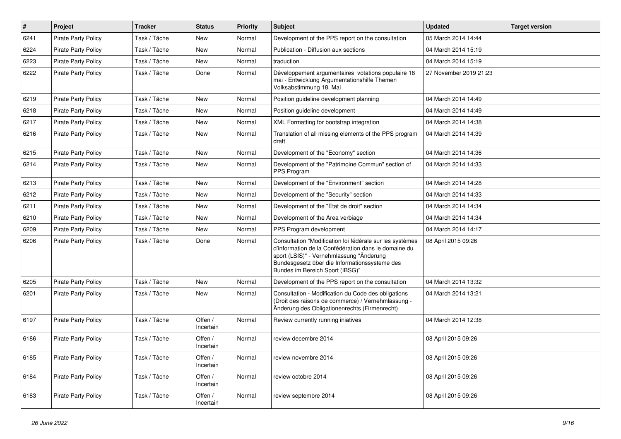| $\vert$ # | Project                    | Tracker      | <b>Status</b>        | <b>Priority</b> | <b>Subject</b>                                                                                                                                                                                                                                   | <b>Updated</b>         | <b>Target version</b> |
|-----------|----------------------------|--------------|----------------------|-----------------|--------------------------------------------------------------------------------------------------------------------------------------------------------------------------------------------------------------------------------------------------|------------------------|-----------------------|
| 6241      | Pirate Party Policy        | Task / Tâche | <b>New</b>           | Normal          | Development of the PPS report on the consultation                                                                                                                                                                                                | 05 March 2014 14:44    |                       |
| 6224      | Pirate Party Policy        | Task / Tâche | New                  | Normal          | Publication - Diffusion aux sections                                                                                                                                                                                                             | 04 March 2014 15:19    |                       |
| 6223      | <b>Pirate Party Policy</b> | Task / Tâche | New                  | Normal          | traduction                                                                                                                                                                                                                                       | 04 March 2014 15:19    |                       |
| 6222      | <b>Pirate Party Policy</b> | Task / Tâche | Done                 | Normal          | Développement argumentaires votations populaire 18<br>mai - Entwicklung Argumentationshilfe Themen<br>Volksabstimmung 18. Mai                                                                                                                    | 27 November 2019 21:23 |                       |
| 6219      | <b>Pirate Party Policy</b> | Task / Tâche | <b>New</b>           | Normal          | Position guideline development planning                                                                                                                                                                                                          | 04 March 2014 14:49    |                       |
| 6218      | <b>Pirate Party Policy</b> | Task / Tâche | New                  | Normal          | Position guideline development                                                                                                                                                                                                                   | 04 March 2014 14:49    |                       |
| 6217      | <b>Pirate Party Policy</b> | Task / Tâche | New                  | Normal          | XML Formatting for bootstrap integration                                                                                                                                                                                                         | 04 March 2014 14:38    |                       |
| 6216      | <b>Pirate Party Policy</b> | Task / Tâche | New                  | Normal          | Translation of all missing elements of the PPS program<br>draft                                                                                                                                                                                  | 04 March 2014 14:39    |                       |
| 6215      | Pirate Party Policy        | Task / Tâche | New                  | Normal          | Development of the "Economy" section                                                                                                                                                                                                             | 04 March 2014 14:36    |                       |
| 6214      | <b>Pirate Party Policy</b> | Task / Tâche | New                  | Normal          | Development of the "Patrimoine Commun" section of<br>PPS Program                                                                                                                                                                                 | 04 March 2014 14:33    |                       |
| 6213      | <b>Pirate Party Policy</b> | Task / Tâche | New                  | Normal          | Development of the "Environment" section                                                                                                                                                                                                         | 04 March 2014 14:28    |                       |
| 6212      | Pirate Party Policy        | Task / Tâche | New                  | Normal          | Development of the "Security" section                                                                                                                                                                                                            | 04 March 2014 14:33    |                       |
| 6211      | <b>Pirate Party Policy</b> | Task / Tâche | New                  | Normal          | Development of the "Etat de droit" section                                                                                                                                                                                                       | 04 March 2014 14:34    |                       |
| 6210      | <b>Pirate Party Policy</b> | Task / Tâche | New                  | Normal          | Development of the Area verbiage                                                                                                                                                                                                                 | 04 March 2014 14:34    |                       |
| 6209      | <b>Pirate Party Policy</b> | Task / Tâche | New                  | Normal          | PPS Program development                                                                                                                                                                                                                          | 04 March 2014 14:17    |                       |
| 6206      | <b>Pirate Party Policy</b> | Task / Tâche | Done                 | Normal          | Consultation "Modification loi fédérale sur les systèmes<br>d'information de la Confédération dans le domaine du<br>sport (LSIS)" - Vernehmlassung "Änderung<br>Bundesgesetz über die Informationssysteme des<br>Bundes im Bereich Sport (IBSG)" | 08 April 2015 09:26    |                       |
| 6205      | <b>Pirate Party Policy</b> | Task / Tâche | New                  | Normal          | Development of the PPS report on the consultation                                                                                                                                                                                                | 04 March 2014 13:32    |                       |
| 6201      | <b>Pirate Party Policy</b> | Task / Tâche | New                  | Normal          | Consultation - Modification du Code des obligations<br>(Droit des raisons de commerce) / Vernehmlassung -<br>Änderung des Obligationenrechts (Firmenrecht)                                                                                       | 04 March 2014 13:21    |                       |
| 6197      | <b>Pirate Party Policy</b> | Task / Tâche | Offen /<br>Incertain | Normal          | Review currently running iniatives                                                                                                                                                                                                               | 04 March 2014 12:38    |                       |
| 6186      | <b>Pirate Party Policy</b> | Task / Tâche | Offen /<br>Incertain | Normal          | review decembre 2014                                                                                                                                                                                                                             | 08 April 2015 09:26    |                       |
| 6185      | Pirate Party Policy        | Task / Tâche | Offen /<br>Incertain | Normal          | review novembre 2014                                                                                                                                                                                                                             | 08 April 2015 09:26    |                       |
| 6184      | Pirate Party Policy        | Task / Tâche | Offen /<br>Incertain | Normal          | review octobre 2014                                                                                                                                                                                                                              | 08 April 2015 09:26    |                       |
| 6183      | Pirate Party Policy        | Task / Tâche | Offen /<br>Incertain | Normal          | review septembre 2014                                                                                                                                                                                                                            | 08 April 2015 09:26    |                       |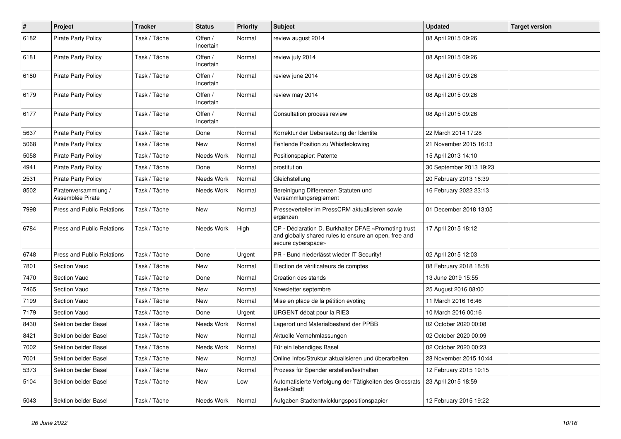| $\pmb{\#}$ | Project                                  | <b>Tracker</b> | <b>Status</b>        | <b>Priority</b> | <b>Subject</b>                                                                                                                      | <b>Updated</b>          | <b>Target version</b> |
|------------|------------------------------------------|----------------|----------------------|-----------------|-------------------------------------------------------------------------------------------------------------------------------------|-------------------------|-----------------------|
| 6182       | <b>Pirate Party Policy</b>               | Task / Tâche   | Offen /<br>Incertain | Normal          | review august 2014                                                                                                                  | 08 April 2015 09:26     |                       |
| 6181       | <b>Pirate Party Policy</b>               | Task / Tâche   | Offen /<br>Incertain | Normal          | review july 2014                                                                                                                    | 08 April 2015 09:26     |                       |
| 6180       | <b>Pirate Party Policy</b>               | Task / Tâche   | Offen /<br>Incertain | Normal          | review june 2014                                                                                                                    | 08 April 2015 09:26     |                       |
| 6179       | <b>Pirate Party Policy</b>               | Task / Tâche   | Offen /<br>Incertain | Normal          | review may 2014                                                                                                                     | 08 April 2015 09:26     |                       |
| 6177       | <b>Pirate Party Policy</b>               | Task / Tâche   | Offen /<br>Incertain | Normal          | Consultation process review                                                                                                         | 08 April 2015 09:26     |                       |
| 5637       | <b>Pirate Party Policy</b>               | Task / Tâche   | Done                 | Normal          | Korrektur der Uebersetzung der Identite                                                                                             | 22 March 2014 17:28     |                       |
| 5068       | <b>Pirate Party Policy</b>               | Task / Tâche   | New                  | Normal          | Fehlende Position zu Whistleblowing                                                                                                 | 21 November 2015 16:13  |                       |
| 5058       | <b>Pirate Party Policy</b>               | Task / Tâche   | Needs Work           | Normal          | Positionspapier: Patente                                                                                                            | 15 April 2013 14:10     |                       |
| 4941       | <b>Pirate Party Policy</b>               | Task / Tâche   | Done                 | Normal          | prostitution                                                                                                                        | 30 September 2013 19:23 |                       |
| 2531       | <b>Pirate Party Policy</b>               | Task / Tâche   | Needs Work           | Normal          | Gleichstellung                                                                                                                      | 20 February 2013 16:39  |                       |
| 8502       | Piratenversammlung /<br>Assemblée Pirate | Task / Tâche   | Needs Work           | Normal          | Bereinigung Differenzen Statuten und<br>Versammlungsreglement                                                                       | 16 February 2022 23:13  |                       |
| 7998       | Press and Public Relations               | Task / Tâche   | New                  | Normal          | Presseverteiler im PressCRM aktualisieren sowie<br>ergänzen                                                                         | 01 December 2018 13:05  |                       |
| 6784       | <b>Press and Public Relations</b>        | Task / Tâche   | Needs Work           | High            | CP - Déclaration D. Burkhalter DFAE «Promoting trust<br>and globally shared rules to ensure an open, free and<br>secure cyberspace» | 17 April 2015 18:12     |                       |
| 6748       | <b>Press and Public Relations</b>        | Task / Tâche   | Done                 | Urgent          | PR - Bund niederlässt wieder IT Security!                                                                                           | 02 April 2015 12:03     |                       |
| 7801       | <b>Section Vaud</b>                      | Task / Tâche   | New                  | Normal          | Election de vérificateurs de comptes                                                                                                | 08 February 2018 18:58  |                       |
| 7470       | <b>Section Vaud</b>                      | Task / Tâche   | Done                 | Normal          | Creation des stands                                                                                                                 | 13 June 2019 15:55      |                       |
| 7465       | Section Vaud                             | Task / Tâche   | New                  | Normal          | Newsletter septembre                                                                                                                | 25 August 2016 08:00    |                       |
| 7199       | <b>Section Vaud</b>                      | Task / Tâche   | New                  | Normal          | Mise en place de la pétition evoting                                                                                                | 11 March 2016 16:46     |                       |
| 7179       | <b>Section Vaud</b>                      | Task / Tâche   | Done                 | Urgent          | URGENT débat pour la RIE3                                                                                                           | 10 March 2016 00:16     |                       |
| 8430       | Sektion beider Basel                     | Task / Tâche   | Needs Work           | Normal          | Lagerort und Materialbestand der PPBB                                                                                               | 02 October 2020 00:08   |                       |
| 8421       | Sektion beider Basel                     | Task / Tâche   | New                  | Normal          | Aktuelle Vernehmlassungen                                                                                                           | 02 October 2020 00:09   |                       |
| 7002       | Sektion beider Basel                     | Task / Tâche   | Needs Work           | Normal          | Für ein lebendiges Basel                                                                                                            | 02 October 2020 00:23   |                       |
| 7001       | Sektion beider Basel                     | Task / Tâche   | <b>New</b>           | Normal          | Online Infos/Struktur aktualisieren und überarbeiten                                                                                | 28 November 2015 10:44  |                       |
| 5373       | Sektion beider Basel                     | Task / Tâche   | New                  | Normal          | Prozess für Spender erstellen/festhalten                                                                                            | 12 February 2015 19:15  |                       |
| 5104       | Sektion beider Basel                     | Task / Tâche   | New                  | Low             | Automatisierte Verfolgung der Tätigkeiten des Grossrats<br><b>Basel-Stadt</b>                                                       | 23 April 2015 18:59     |                       |
| 5043       | Sektion beider Basel                     | Task / Tâche   | Needs Work           | Normal          | Aufgaben Stadtentwicklungspositionspapier                                                                                           | 12 February 2015 19:22  |                       |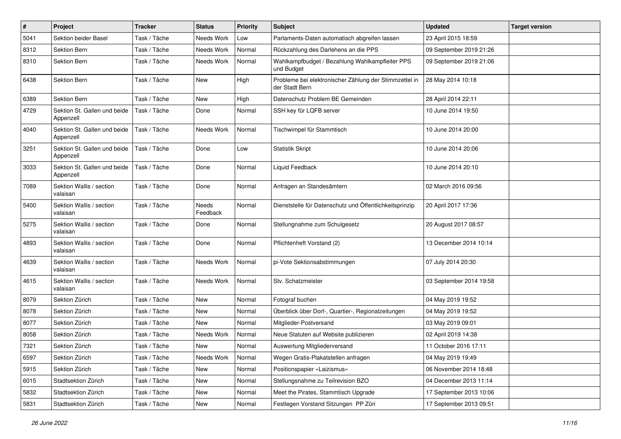| $\#$ | Project                                   | <b>Tracker</b> | <b>Status</b>     | <b>Priority</b> | <b>Subject</b>                                                           | <b>Updated</b>          | <b>Target version</b> |
|------|-------------------------------------------|----------------|-------------------|-----------------|--------------------------------------------------------------------------|-------------------------|-----------------------|
| 5041 | Sektion beider Basel                      | Task / Tâche   | Needs Work        | Low             | Parlaments-Daten automatisch abgreifen lassen                            | 23 April 2015 18:59     |                       |
| 8312 | Sektion Bern                              | Task / Tâche   | Needs Work        | Normal          | Rückzahlung des Darlehens an die PPS                                     | 09 September 2019 21:26 |                       |
| 8310 | Sektion Bern                              | Task / Tâche   | Needs Work        | Normal          | Wahlkampfbudget / Bezahlung Wahlkampfleiter PPS<br>und Budget            | 09 September 2019 21:06 |                       |
| 6438 | Sektion Bern                              | Task / Tâche   | <b>New</b>        | High            | Probleme bei elektronischer Zählung der Stimmzettel in<br>der Stadt Bern | 28 May 2014 10:18       |                       |
| 6389 | <b>Sektion Bern</b>                       | Task / Tâche   | New               | High            | Datenschutz Problem BE Gemeinden                                         | 28 April 2014 22:11     |                       |
| 4729 | Sektion St. Gallen und beide<br>Appenzell | Task / Tâche   | Done              | Normal          | SSH key für LQFB server                                                  | 10 June 2014 19:50      |                       |
| 4040 | Sektion St. Gallen und beide<br>Appenzell | Task / Tâche   | Needs Work        | Normal          | Tischwimpel für Stammtisch                                               | 10 June 2014 20:00      |                       |
| 3251 | Sektion St. Gallen und beide<br>Appenzell | Task / Tâche   | Done              | Low             | <b>Statistik Skript</b>                                                  | 10 June 2014 20:06      |                       |
| 3033 | Sektion St. Gallen und beide<br>Appenzell | Task / Tâche   | Done              | Normal          | Liquid Feedback                                                          | 10 June 2014 20:10      |                       |
| 7089 | Sektion Wallis / section<br>valaisan      | Task / Tâche   | Done              | Normal          | Anfragen an Standesämtern                                                | 02 March 2016 09:56     |                       |
| 5400 | Sektion Wallis / section<br>valaisan      | Task / Tâche   | Needs<br>Feedback | Normal          | Dienststelle für Datenschutz und Öffentlichkeitsprinzip                  | 20 April 2017 17:36     |                       |
| 5275 | Sektion Wallis / section<br>valaisan      | Task / Tâche   | Done              | Normal          | Stellungnahme zum Schulgesetz                                            | 20 August 2017 08:57    |                       |
| 4893 | Sektion Wallis / section<br>valaisan      | Task / Tâche   | Done              | Normal          | Pflichtenheft Vorstand (2)                                               | 13 December 2014 10:14  |                       |
| 4639 | Sektion Wallis / section<br>valaisan      | Task / Tâche   | Needs Work        | Normal          | pi-Vote Sektionsabstimmungen                                             | 07 July 2014 20:30      |                       |
| 4615 | Sektion Wallis / section<br>valaisan      | Task / Tâche   | Needs Work        | Normal          | Stv. Schatzmeister                                                       | 03 September 2014 19:58 |                       |
| 8079 | Sektion Zürich                            | Task / Tâche   | New               | Normal          | Fotograf buchen                                                          | 04 May 2019 19:52       |                       |
| 8078 | Sektion Zürich                            | Task / Tâche   | New               | Normal          | Überblick über Dorf-, Quartier-, Regionalzeitungen                       | 04 May 2019 19:52       |                       |
| 8077 | Sektion Zürich                            | Task / Tâche   | <b>New</b>        | Normal          | Mitglieder-Postversand                                                   | 03 May 2019 09:01       |                       |
| 8058 | Sektion Zürich                            | Task / Tâche   | Needs Work        | Normal          | Neue Statuten auf Website publizieren                                    | 02 April 2019 14:38     |                       |
| 7321 | Sektion Zürich                            | Task / Tâche   | New               | Normal          | Auswertung Mitgliederversand                                             | 11 October 2016 17:11   |                       |
| 6597 | Sektion Zürich                            | Task / Tâche   | Needs Work        | Normal          | Wegen Gratis-Plakatstellen anfragen                                      | 04 May 2019 19:49       |                       |
| 5915 | Sektion Zürich                            | Task / Tâche   | New               | Normal          | Positionspapier «Laizismus»                                              | 06 November 2014 18:48  |                       |
| 6015 | Stadtsektion Zürich                       | Task / Tâche   | New               | Normal          | Stellungsnahme zu Teilrevision BZO                                       | 04 December 2013 11:14  |                       |
| 5832 | Stadtsektion Zürich                       | Task / Tâche   | New               | Normal          | Meet the Pirates, Stammtisch Upgrade                                     | 17 September 2013 10:06 |                       |
| 5831 | Stadtsektion Zürich                       | Task / Tâche   | New               | Normal          | Festlegen Vorstand Sitzungen PP Züri                                     | 17 September 2013 09:51 |                       |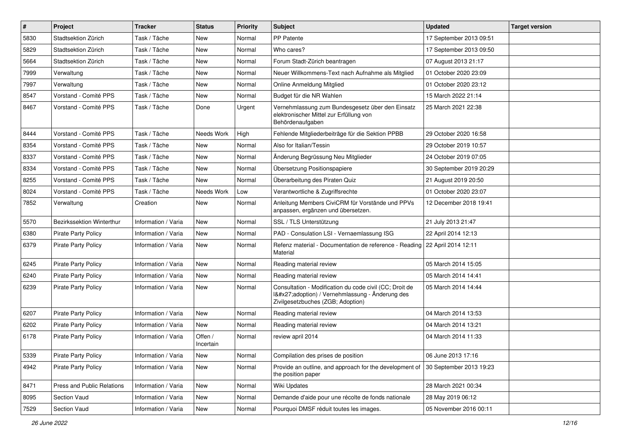| $\pmb{\#}$ | Project                          | <b>Tracker</b>      | <b>Status</b>        | <b>Priority</b> | Subject                                                                                                                                     | <b>Updated</b>          | <b>Target version</b> |
|------------|----------------------------------|---------------------|----------------------|-----------------|---------------------------------------------------------------------------------------------------------------------------------------------|-------------------------|-----------------------|
| 5830       | Stadtsektion Zürich              | Task / Tâche        | New                  | Normal          | PP Patente                                                                                                                                  | 17 September 2013 09:51 |                       |
| 5829       | Stadtsektion Zürich              | Task / Tâche        | <b>New</b>           | Normal          | Who cares?                                                                                                                                  | 17 September 2013 09:50 |                       |
| 5664       | Stadtsektion Zürich              | Task / Tâche        | New                  | Normal          | Forum Stadt-Zürich beantragen                                                                                                               | 07 August 2013 21:17    |                       |
| 7999       | Verwaltung                       | Task / Tâche        | New                  | Normal          | Neuer Willkommens-Text nach Aufnahme als Mitglied                                                                                           | 01 October 2020 23:09   |                       |
| 7997       | Verwaltung                       | Task / Tâche        | <b>New</b>           | Normal          | Online Anmeldung Mitglied                                                                                                                   | 01 October 2020 23:12   |                       |
| 8547       | Vorstand - Comité PPS            | Task / Tâche        | New                  | Normal          | Budget für die NR Wahlen                                                                                                                    | 15 March 2022 21:14     |                       |
| 8467       | Vorstand - Comité PPS            | Task / Tâche        | Done                 | Urgent          | Vernehmlassung zum Bundesgesetz über den Einsatz<br>elektronischer Mittel zur Erfüllung von<br>Behördenaufgaben                             | 25 March 2021 22:38     |                       |
| 8444       | Vorstand - Comité PPS            | Task / Tâche        | Needs Work           | High            | Fehlende Mitgliederbeiträge für die Sektion PPBB                                                                                            | 29 October 2020 16:58   |                       |
| 8354       | Vorstand - Comité PPS            | Task / Tâche        | New                  | Normal          | Also for Italian/Tessin                                                                                                                     | 29 October 2019 10:57   |                       |
| 8337       | Vorstand - Comité PPS            | Task / Tâche        | <b>New</b>           | Normal          | Änderung Begrüssung Neu Mitglieder                                                                                                          | 24 October 2019 07:05   |                       |
| 8334       | Vorstand - Comité PPS            | Task / Tâche        | <b>New</b>           | Normal          | Übersetzung Positionspapiere                                                                                                                | 30 September 2019 20:29 |                       |
| 8255       | Vorstand - Comité PPS            | Task / Tâche        | New                  | Normal          | Überarbeitung des Piraten Quiz                                                                                                              | 21 August 2019 20:50    |                       |
| 8024       | Vorstand - Comité PPS            | Task / Tâche        | Needs Work           | Low             | Verantwortliche & Zugriffsrechte                                                                                                            | 01 October 2020 23:07   |                       |
| 7852       | Verwaltung                       | Creation            | <b>New</b>           | Normal          | Anleitung Members CiviCRM für Vorstände und PPVs<br>anpassen, ergänzen und übersetzen.                                                      | 12 December 2018 19:41  |                       |
| 5570       | <b>Bezirkssektion Winterthur</b> | Information / Varia | <b>New</b>           | Normal          | SSL / TLS Unterstützung                                                                                                                     | 21 July 2013 21:47      |                       |
| 6380       | <b>Pirate Party Policy</b>       | Information / Varia | New                  | Normal          | PAD - Consulation LSI - Vernaemlassung ISG                                                                                                  | 22 April 2014 12:13     |                       |
| 6379       | <b>Pirate Party Policy</b>       | Information / Varia | New                  | Normal          | Refenz material - Documentation de reference - Reading   22 April 2014 12:11<br>Material                                                    |                         |                       |
| 6245       | <b>Pirate Party Policy</b>       | Information / Varia | <b>New</b>           | Normal          | Reading material review                                                                                                                     | 05 March 2014 15:05     |                       |
| 6240       | <b>Pirate Party Policy</b>       | Information / Varia | New                  | Normal          | Reading material review                                                                                                                     | 05 March 2014 14:41     |                       |
| 6239       | <b>Pirate Party Policy</b>       | Information / Varia | New                  | Normal          | Consultation - Modification du code civil (CC; Droit de<br>I'adoption) / Vernehmlassung - Änderung des<br>Zivilgesetzbuches (ZGB; Adoption) | 05 March 2014 14:44     |                       |
| 6207       | <b>Pirate Party Policy</b>       | Information / Varia | <b>New</b>           | Normal          | Reading material review                                                                                                                     | 04 March 2014 13:53     |                       |
| 6202       | Pirate Party Policy              | Information / Varia | New                  | Normal          | Reading material review                                                                                                                     | 04 March 2014 13:21     |                       |
| 6178       | <b>Pirate Party Policy</b>       | Information / Varia | Offen /<br>Incertain | Normal          | review april 2014                                                                                                                           | 04 March 2014 11:33     |                       |
| 5339       | Pirate Party Policy              | Information / Varia | New                  | Normal          | Compilation des prises de position                                                                                                          | 06 June 2013 17:16      |                       |
| 4942       | <b>Pirate Party Policy</b>       | Information / Varia | New                  | Normal          | Provide an outline, and approach for the development of<br>the position paper                                                               | 30 September 2013 19:23 |                       |
| 8471       | Press and Public Relations       | Information / Varia | New                  | Normal          | Wiki Updates                                                                                                                                | 28 March 2021 00:34     |                       |
| 8095       | Section Vaud                     | Information / Varia | New                  | Normal          | Demande d'aide pour une récolte de fonds nationale                                                                                          | 28 May 2019 06:12       |                       |
| 7529       | Section Vaud                     | Information / Varia | New                  | Normal          | Pourquoi DMSF réduit toutes les images.                                                                                                     | 05 November 2016 00:11  |                       |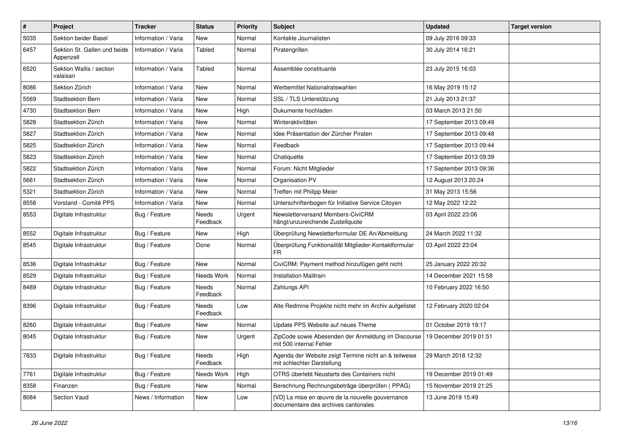| $\pmb{\#}$ | Project                                   | <b>Tracker</b>      | <b>Status</b>     | <b>Priority</b> | <b>Subject</b>                                                                           | <b>Updated</b>          | <b>Target version</b> |
|------------|-------------------------------------------|---------------------|-------------------|-----------------|------------------------------------------------------------------------------------------|-------------------------|-----------------------|
| 5035       | Sektion beider Basel                      | Information / Varia | New               | Normal          | Kontakte Journalisten                                                                    | 09 July 2016 09:33      |                       |
| 6457       | Sektion St. Gallen und beide<br>Appenzell | Information / Varia | Tabled            | Normal          | Piratengrillen                                                                           | 30 July 2014 16:21      |                       |
| 6520       | Sektion Wallis / section<br>valaisan      | Information / Varia | Tabled            | Normal          | Assemblée constituante                                                                   | 23 July 2015 16:03      |                       |
| 8086       | Sektion Zürich                            | Information / Varia | <b>New</b>        | Normal          | Werbemittel Nationalratswahlen                                                           | 16 May 2019 15:12       |                       |
| 5569       | <b>Stadtsektion Bern</b>                  | Information / Varia | New               | Normal          | SSL / TLS Unterstützung                                                                  | 21 July 2013 21:37      |                       |
| 4730       | <b>Stadtsektion Bern</b>                  | Information / Varia | New               | High            | Dukumente hochladen                                                                      | 03 March 2013 21:50     |                       |
| 5828       | Stadtsektion Zürich                       | Information / Varia | <b>New</b>        | Normal          | Winteraktivitäten                                                                        | 17 September 2013 09:49 |                       |
| 5827       | Stadtsektion Zürich                       | Information / Varia | <b>New</b>        | Normal          | Idee Präsentation der Zürcher Piraten                                                    | 17 September 2013 09:48 |                       |
| 5825       | Stadtsektion Zürich                       | Information / Varia | <b>New</b>        | Normal          | Feedback                                                                                 | 17 September 2013 09:44 |                       |
| 5823       | Stadtsektion Zürich                       | Information / Varia | <b>New</b>        | Normal          | Chatiquette                                                                              | 17 September 2013 09:39 |                       |
| 5822       | Stadtsektion Zürich                       | Information / Varia | <b>New</b>        | Normal          | Forum: Nicht Mitglieder                                                                  | 17 September 2013 09:36 |                       |
| 5661       | Stadtsektion Zürich                       | Information / Varia | New               | Normal          | Organisation PV                                                                          | 12 August 2013 20:24    |                       |
| 5321       | Stadtsektion Zürich                       | Information / Varia | <b>New</b>        | Normal          | Treffen mit Philipp Meier                                                                | 31 May 2013 15:56       |                       |
| 8558       | Vorstand - Comité PPS                     | Information / Varia | <b>New</b>        | Normal          | Unterschriftenbogen für Initiative Service Citoyen                                       | 12 May 2022 12:22       |                       |
| 8553       | Digitale Infrastruktur                    | Bug / Feature       | Needs<br>Feedback | Urgent          | Newsletterversand Members-CiviCRM<br>hängt/unzureichende Zustellquote                    | 03 April 2022 23:06     |                       |
| 8552       | Digitale Infrastruktur                    | Bug / Feature       | New               | High            | Überprüfung Newsletterformular DE An/Abmeldung                                           | 24 March 2022 11:32     |                       |
| 8545       | Digitale Infrastruktur                    | Bug / Feature       | Done              | Normal          | Überprüfung Funktionalität Mitglieder-Kontaktformular<br>FR.                             | 03 April 2022 23:04     |                       |
| 8536       | Digitale Infrastruktur                    | Bug / Feature       | <b>New</b>        | Normal          | CiviCRM: Payment method hinzufügen geht nicht                                            | 25 January 2022 20:32   |                       |
| 8529       | Digitale Infrastruktur                    | Bug / Feature       | Needs Work        | Normal          | <b>Installation Mailtrain</b>                                                            | 14 December 2021 15:58  |                       |
| 8489       | Digitale Infrastruktur                    | Bug / Feature       | Needs<br>Feedback | Normal          | Zahlungs API                                                                             | 10 February 2022 16:50  |                       |
| 8396       | Digitale Infrastruktur                    | Bug / Feature       | Needs<br>Feedback | Low             | Alte Redmine Projekte nicht mehr im Archiv aufgelistet                                   | 12 February 2020 02:04  |                       |
| 8260       | Digitale Infrastruktur                    | Bug / Feature       | New               | Normal          | Update PPS Website auf neues Theme                                                       | 01 October 2019 19:17   |                       |
| 8045       | Digitale Infrastruktur                    | Bug / Feature       | New               | Urgent          | ZipCode sowie Abesenden der Anmeldung im Discourse<br>mit 500 internal Fehler            | 19 December 2019 01:51  |                       |
| 7833       | Digitale Infrastruktur                    | Bug / Feature       | Needs<br>Feedback | High            | Agenda der Website zeigt Termine nicht an & teilweise<br>mit schlechter Darstellung      | 29 March 2018 12:32     |                       |
| 7761       | Digitale Infrastruktur                    | Bug / Feature       | Needs Work        | High            | OTRS überlebt Neustarts des Containers nicht                                             | 19 December 2019 01:49  |                       |
| 8358       | Finanzen                                  | Bug / Feature       | New               | Normal          | Berechnung Rechnungsbeträge überprüfen (PPAG)                                            | 15 November 2019 21:25  |                       |
| 8084       | Section Vaud                              | News / Information  | New               | Low             | [VD] La mise en œuvre de la nouvelle gouvernance<br>documentaire des archives cantonales | 13 June 2019 15:49      |                       |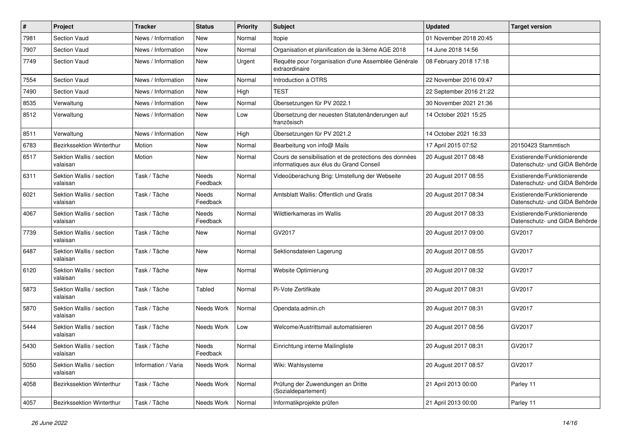| $\#$ | Project                              | <b>Tracker</b>      | <b>Status</b>            | <b>Priority</b> | <b>Subject</b>                                                                                    | <b>Updated</b>          | <b>Target version</b>                                         |
|------|--------------------------------------|---------------------|--------------------------|-----------------|---------------------------------------------------------------------------------------------------|-------------------------|---------------------------------------------------------------|
| 7981 | <b>Section Vaud</b>                  | News / Information  | <b>New</b>               | Normal          | Itopie                                                                                            | 01 November 2018 20:45  |                                                               |
| 7907 | <b>Section Vaud</b>                  | News / Information  | New                      | Normal          | Organisation et planification de la 3ème AGE 2018                                                 | 14 June 2018 14:56      |                                                               |
| 7749 | Section Vaud                         | News / Information  | New                      | Urgent          | Requête pour l'organisation d'une Assemblée Générale<br>extraordinaire                            | 08 February 2018 17:18  |                                                               |
| 7554 | Section Vaud                         | News / Information  | New                      | Normal          | Introduction à OTRS                                                                               | 22 November 2016 09:47  |                                                               |
| 7490 | Section Vaud                         | News / Information  | New                      | High            | <b>TEST</b>                                                                                       | 22 September 2016 21:22 |                                                               |
| 8535 | Verwaltung                           | News / Information  | <b>New</b>               | Normal          | Übersetzungen für PV 2022.1                                                                       | 30 November 2021 21:36  |                                                               |
| 8512 | Verwaltung                           | News / Information  | New                      | Low             | Übersetzung der neuesten Statutenänderungen auf<br>französisch                                    | 14 October 2021 15:25   |                                                               |
| 8511 | Verwaltung                           | News / Information  | New                      | High            | Übersetzungen für PV 2021.2                                                                       | 14 October 2021 16:33   |                                                               |
| 6783 | Bezirkssektion Winterthur            | Motion              | <b>New</b>               | Normal          | Bearbeitung von info@ Mails                                                                       | 17 April 2015 07:52     | 20150423 Stammtisch                                           |
| 6517 | Sektion Wallis / section<br>valaisan | Motion              | <b>New</b>               | Normal          | Cours de sensibilisation et de protections des données<br>informatiques aux élus du Grand Conseil | 20 August 2017 08:48    | Existierende/Funktionierende<br>Datenschutz- und GIDA Behörde |
| 6311 | Sektion Wallis / section<br>valaisan | Task / Tâche        | Needs<br>Feedback        | Normal          | Videoüberachung Brig: Umstellung der Webseite                                                     | 20 August 2017 08:55    | Existierende/Funktionierende<br>Datenschutz- und GIDA Behörde |
| 6021 | Sektion Wallis / section<br>valaisan | Task / Tâche        | Needs<br>Feedback        | Normal          | Amtsblatt Wallis: Öffentlich und Gratis                                                           | 20 August 2017 08:34    | Existierende/Funktionierende<br>Datenschutz- und GIDA Behörde |
| 4067 | Sektion Wallis / section<br>valaisan | Task / Tâche        | <b>Needs</b><br>Feedback | Normal          | Wildtierkameras im Wallis                                                                         | 20 August 2017 08:33    | Existierende/Funktionierende<br>Datenschutz- und GIDA Behörde |
| 7739 | Sektion Wallis / section<br>valaisan | Task / Tâche        | New                      | Normal          | GV2017                                                                                            | 20 August 2017 09:00    | GV2017                                                        |
| 6487 | Sektion Wallis / section<br>valaisan | Task / Tâche        | New                      | Normal          | Sektionsdateien Lagerung                                                                          | 20 August 2017 08:55    | GV2017                                                        |
| 6120 | Sektion Wallis / section<br>valaisan | Task / Tâche        | New                      | Normal          | Website Optimierung                                                                               | 20 August 2017 08:32    | GV2017                                                        |
| 5873 | Sektion Wallis / section<br>valaisan | Task / Tâche        | Tabled                   | Normal          | Pi-Vote Zertifikate                                                                               | 20 August 2017 08:31    | GV2017                                                        |
| 5870 | Sektion Wallis / section<br>valaisan | Task / Tâche        | Needs Work               | Normal          | Opendata.admin.ch                                                                                 | 20 August 2017 08:31    | GV2017                                                        |
| 5444 | Sektion Wallis / section<br>valaisan | Task / Tâche        | Needs Work               | Low             | Welcome/Austrittsmail automatisieren                                                              | 20 August 2017 08:56    | GV2017                                                        |
| 5430 | Sektion Wallis / section<br>valaisan | Task / Tâche        | Needs<br>Feedback        | Normal          | Einrichtung interne Mailingliste                                                                  | 20 August 2017 08:31    | GV2017                                                        |
| 5050 | Sektion Wallis / section<br>valaisan | Information / Varia | Needs Work               | Normal          | Wiki: Wahlsysteme                                                                                 | 20 August 2017 08:57    | GV2017                                                        |
| 4058 | Bezirkssektion Winterthur            | Task / Tâche        | Needs Work               | Normal          | Prüfung der Zuwendungen an Dritte<br>(Sozialdepartement)                                          | 21 April 2013 00:00     | Parley 11                                                     |
| 4057 | Bezirkssektion Winterthur            | Task / Tâche        | Needs Work               | Normal          | Informatikprojekte prüfen                                                                         | 21 April 2013 00:00     | Parley 11                                                     |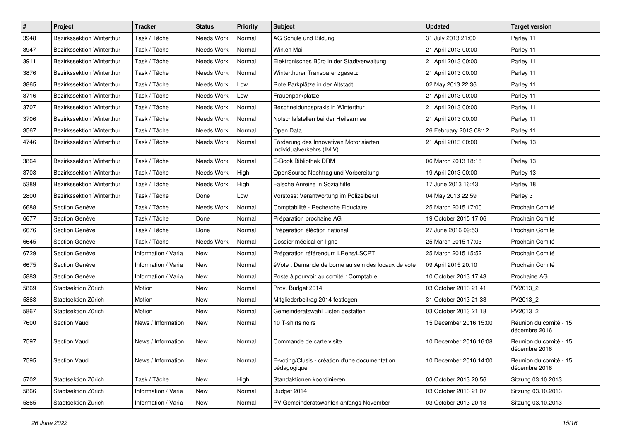| $\pmb{\#}$ | Project                          | <b>Tracker</b>      | <b>Status</b> | <b>Priority</b> | <b>Subject</b>                                                       | <b>Updated</b>         | <b>Target version</b>                   |
|------------|----------------------------------|---------------------|---------------|-----------------|----------------------------------------------------------------------|------------------------|-----------------------------------------|
| 3948       | Bezirkssektion Winterthur        | Task / Tâche        | Needs Work    | Normal          | AG Schule und Bildung                                                | 31 July 2013 21:00     | Parley 11                               |
| 3947       | Bezirkssektion Winterthur        | Task / Tâche        | Needs Work    | Normal          | Win.ch Mail                                                          | 21 April 2013 00:00    | Parley 11                               |
| 3911       | Bezirkssektion Winterthur        | Task / Tâche        | Needs Work    | Normal          | Elektronisches Büro in der Stadtverwaltung                           | 21 April 2013 00:00    | Parley 11                               |
| 3876       | Bezirkssektion Winterthur        | Task / Tâche        | Needs Work    | Normal          | Winterthurer Transparenzgesetz                                       | 21 April 2013 00:00    | Parley 11                               |
| 3865       | Bezirkssektion Winterthur        | Task / Tâche        | Needs Work    | Low             | Rote Parkplätze in der Altstadt                                      | 02 May 2013 22:36      | Parley 11                               |
| 3716       | Bezirkssektion Winterthur        | Task / Tâche        | Needs Work    | Low             | Frauenparkplätze                                                     | 21 April 2013 00:00    | Parley 11                               |
| 3707       | <b>Bezirkssektion Winterthur</b> | Task / Tâche        | Needs Work    | Normal          | Beschneidungspraxis in Winterthur                                    | 21 April 2013 00:00    | Parley 11                               |
| 3706       | Bezirkssektion Winterthur        | Task / Tâche        | Needs Work    | Normal          | Notschlafstellen bei der Heilsarmee                                  | 21 April 2013 00:00    | Parley 11                               |
| 3567       | Bezirkssektion Winterthur        | Task / Tâche        | Needs Work    | Normal          | Open Data                                                            | 26 February 2013 08:12 | Parley 11                               |
| 4746       | Bezirkssektion Winterthur        | Task / Tâche        | Needs Work    | Normal          | Förderung des Innovativen Motorisierten<br>Individualverkehrs (IMIV) | 21 April 2013 00:00    | Parley 13                               |
| 3864       | <b>Bezirkssektion Winterthur</b> | Task / Tâche        | Needs Work    | Normal          | E-Book Bibliothek DRM                                                | 06 March 2013 18:18    | Parley 13                               |
| 3708       | <b>Bezirkssektion Winterthur</b> | Task / Tâche        | Needs Work    | High            | OpenSource Nachtrag und Vorbereitung                                 | 19 April 2013 00:00    | Parley 13                               |
| 5389       | Bezirkssektion Winterthur        | Task / Tâche        | Needs Work    | High            | Falsche Anreize in Sozialhilfe                                       | 17 June 2013 16:43     | Parley 18                               |
| 2800       | Bezirkssektion Winterthur        | Task / Tâche        | Done          | Low             | Vorstoss: Verantwortung im Polizeiberuf                              | 04 May 2013 22:59      | Parley 3                                |
| 6688       | Section Genève                   | Task / Tâche        | Needs Work    | Normal          | Comptabilité - Recherche Fiduciaire                                  | 25 March 2015 17:00    | Prochain Comité                         |
| 6677       | Section Genève                   | Task / Tâche        | Done          | Normal          | Préparation prochaine AG                                             | 19 October 2015 17:06  | Prochain Comité                         |
| 6676       | Section Genève                   | Task / Tâche        | Done          | Normal          | Préparation éléction national                                        | 27 June 2016 09:53     | Prochain Comité                         |
| 6645       | Section Genève                   | Task / Tâche        | Needs Work    | Normal          | Dossier médical en ligne                                             | 25 March 2015 17:03    | Prochain Comité                         |
| 6729       | Section Genève                   | Information / Varia | New           | Normal          | Préparation référendum LRens/LSCPT                                   | 25 March 2015 15:52    | Prochain Comité                         |
| 6675       | Section Genève                   | Information / Varia | <b>New</b>    | Normal          | éVote : Demande de borne au sein des locaux de vote                  | 09 April 2015 20:10    | Prochain Comité                         |
| 5883       | Section Genève                   | Information / Varia | New           | Normal          | Poste à pourvoir au comité : Comptable                               | 10 October 2013 17:43  | Prochaine AG                            |
| 5869       | Stadtsektion Zürich              | Motion              | <b>New</b>    | Normal          | Prov. Budget 2014                                                    | 03 October 2013 21:41  | PV2013_2                                |
| 5868       | Stadtsektion Zürich              | Motion              | New           | Normal          | Mitgliederbeitrag 2014 festlegen                                     | 31 October 2013 21:33  | PV2013_2                                |
| 5867       | Stadtsektion Zürich              | Motion              | New           | Normal          | Gemeinderatswahl Listen gestalten                                    | 03 October 2013 21:18  | PV2013_2                                |
| 7600       | <b>Section Vaud</b>              | News / Information  | New           | Normal          | 10 T-shirts noirs                                                    | 15 December 2016 15:00 | Réunion du comité - 15<br>décembre 2016 |
| 7597       | Section Vaud                     | News / Information  | New           | Normal          | Commande de carte visite                                             | 10 December 2016 16:08 | Réunion du comité - 15<br>décembre 2016 |
| 7595       | Section Vaud                     | News / Information  | New           | Normal          | E-voting/Clusis - création d'une documentation<br>pédagogique        | 10 December 2016 14:00 | Réunion du comité - 15<br>décembre 2016 |
| 5702       | Stadtsektion Zürich              | Task / Tâche        | New           | High            | Standaktionen koordinieren                                           | 03 October 2013 20:56  | Sitzung 03.10.2013                      |
| 5866       | Stadtsektion Zürich              | Information / Varia | New           | Normal          | Budget 2014                                                          | 03 October 2013 21:07  | Sitzung 03.10.2013                      |
| 5865       | Stadtsektion Zürich              | Information / Varia | New           | Normal          | PV Gemeinderatswahlen anfangs November                               | 03 October 2013 20:13  | Sitzung 03.10.2013                      |